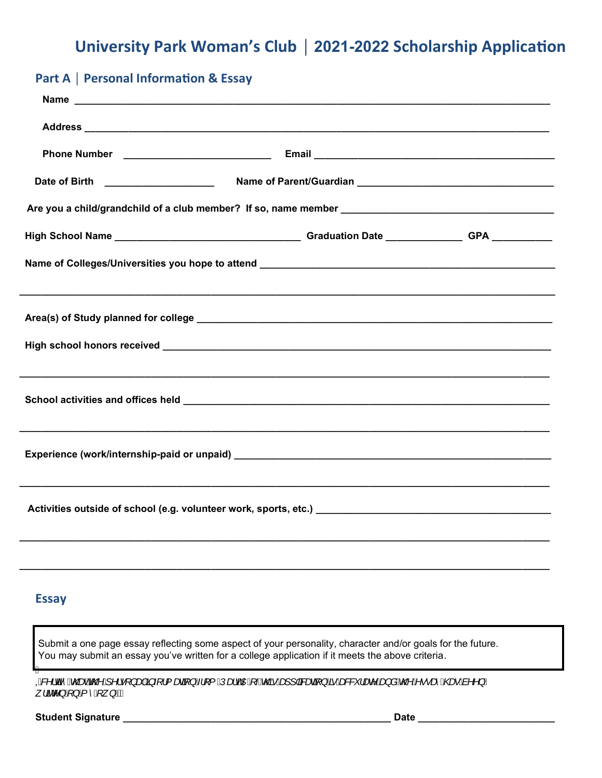## **University Park Woman's Club │ 2021-2022 Scholarship Application**

# Part A | Personal Information & Essay

### Essay

Ź

 Submit a one page essay reflecting some aspect of your personality, character and/or goals for the future. You may submit an essay you've written for a college application if it meets the above criteria.

QRX*¦G*i^AQBoAQOA^!•[}a#Aj{′{aBj}A¦[{AUadoAQZA}AQY}ABaBaj}A5AB&X`¦aB^As}aAQOA^\*\*a6AQooAs^^}/ *z'ä*cc^}4}}{ ^4\*z} B*A

**Student Signature \_\_\_\_\_\_\_\_\_\_\_\_\_\_\_\_\_\_\_\_\_\_\_\_\_\_\_\_\_\_\_\_\_\_\_\_\_\_\_\_\_\_\_\_\_\_\_\_\_ Date \_\_\_\_\_\_\_\_\_\_\_\_\_\_\_\_\_\_\_\_\_\_\_\_\_**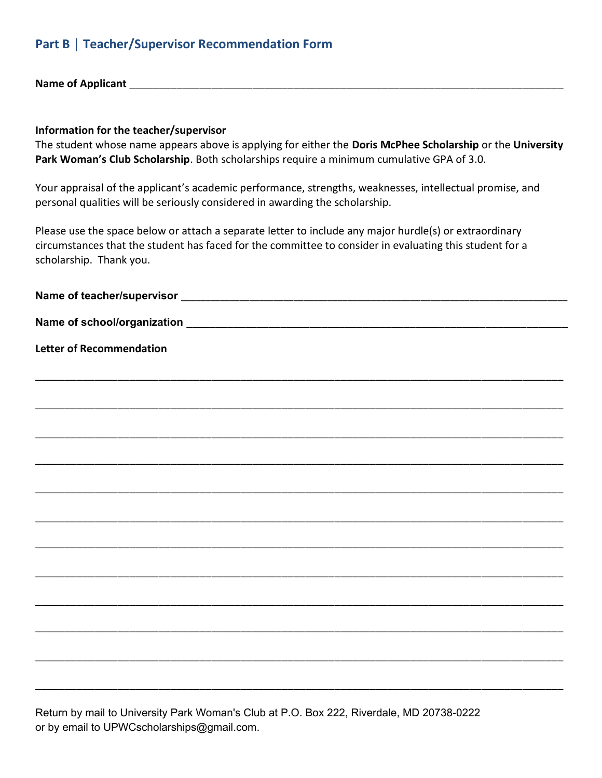#### Part B │ Teacher/Supervisor Recommendation Form

Name of Applicant \_\_\_\_\_\_\_\_\_\_\_\_\_\_\_\_\_\_\_\_\_\_\_\_\_\_\_\_\_\_\_\_\_\_\_\_\_\_\_\_\_\_\_\_\_\_\_\_\_\_\_\_\_\_\_\_\_\_\_\_\_\_\_\_\_\_\_\_\_\_\_\_\_\_

#### Information for the teacher/supervisor

The student whose name appears above is applying for either the Doris McPhee Scholarship or the University Park Woman's Club Scholarship. Both scholarships require a minimum cumulative GPA of 3.0.

Your appraisal of the applicant's academic performance, strengths, weaknesses, intellectual promise, and personal qualities will be seriously considered in awarding the scholarship.

Please use the space below or attach a separate letter to include any major hurdle(s) or extraordinary circumstances that the student has faced for the committee to consider in evaluating this student for a scholarship. Thank you.

| <b>Letter of Recommendation</b> |  |  |
|---------------------------------|--|--|
|                                 |  |  |
|                                 |  |  |
|                                 |  |  |
|                                 |  |  |
|                                 |  |  |
|                                 |  |  |
|                                 |  |  |
|                                 |  |  |
|                                 |  |  |
|                                 |  |  |
|                                 |  |  |
|                                 |  |  |
|                                 |  |  |
|                                 |  |  |

Return by mail to University Park Woman's Club at P.O. Box 222, Riverdale, MD 20738-0222 or by email to UPWCscholarships@gmail.com.